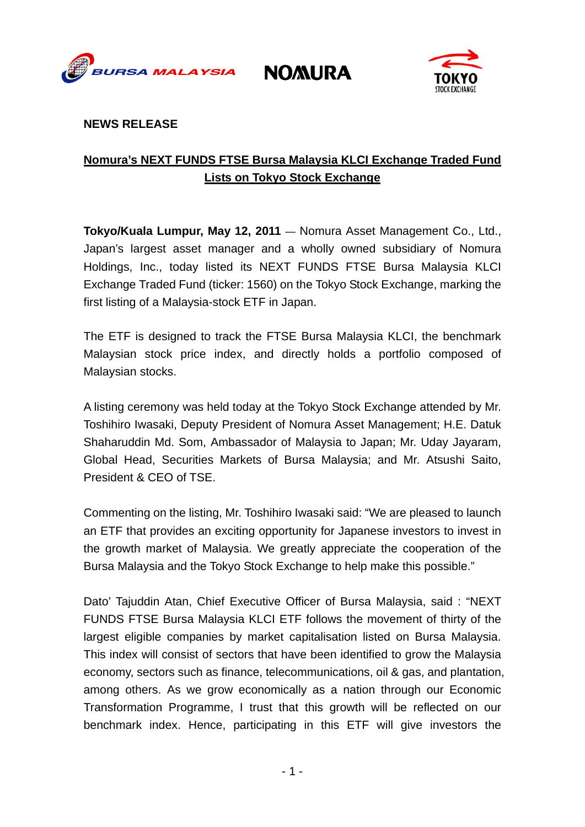

**NOMURA** 



## **NEWS RELEASE**

# **Nomura's NEXT FUNDS FTSE Bursa Malaysia KLCI Exchange Traded Fund Lists on Tokyo Stock Exchange**

**Tokyo/Kuala Lumpur, May 12, 2011** — Nomura Asset Management Co., Ltd., Japan's largest asset manager and a wholly owned subsidiary of Nomura Holdings, Inc., today listed its NEXT FUNDS FTSE Bursa Malaysia KLCI Exchange Traded Fund (ticker: 1560) on the Tokyo Stock Exchange, marking the first listing of a Malaysia-stock ETF in Japan.

The ETF is designed to track the FTSE Bursa Malaysia KLCI, the benchmark Malaysian stock price index, and directly holds a portfolio composed of Malaysian stocks.

A listing ceremony was held today at the Tokyo Stock Exchange attended by Mr. Toshihiro Iwasaki, Deputy President of Nomura Asset Management; H.E. Datuk Shaharuddin Md. Som, Ambassador of Malaysia to Japan; Mr. Uday Jayaram, Global Head, Securities Markets of Bursa Malaysia; and Mr. Atsushi Saito, President & CEO of TSE.

Commenting on the listing, Mr. Toshihiro Iwasaki said: "We are pleased to launch an ETF that provides an exciting opportunity for Japanese investors to invest in the growth market of Malaysia. We greatly appreciate the cooperation of the Bursa Malaysia and the Tokyo Stock Exchange to help make this possible."

Dato' Tajuddin Atan, Chief Executive Officer of Bursa Malaysia, said : "NEXT FUNDS FTSE Bursa Malaysia KLCI ETF follows the movement of thirty of the largest eligible companies by market capitalisation listed on Bursa Malaysia. This index will consist of sectors that have been identified to grow the Malaysia economy, sectors such as finance, telecommunications, oil & gas, and plantation, among others. As we grow economically as a nation through our Economic Transformation Programme, I trust that this growth will be reflected on our benchmark index. Hence, participating in this ETF will give investors the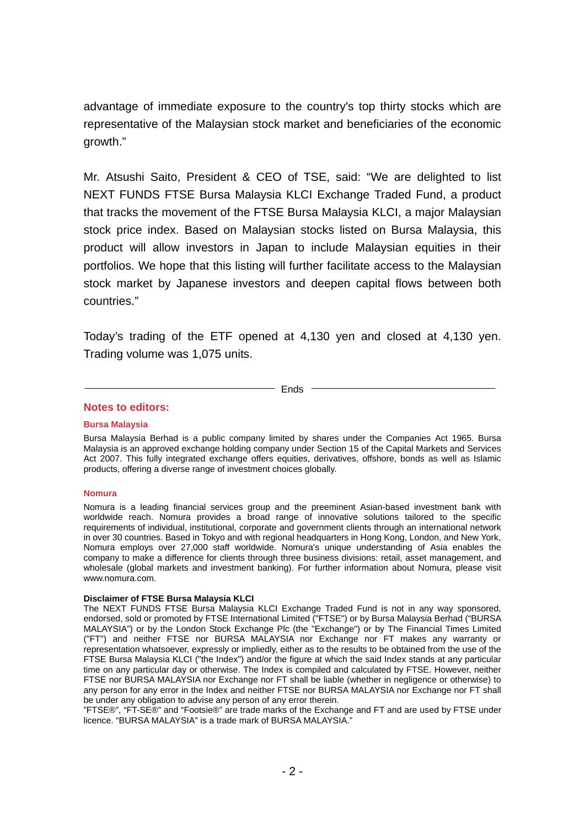advantage of immediate exposure to the country's top thirty stocks which are representative of the Malaysian stock market and beneficiaries of the economic growth."

Mr. Atsushi Saito, President & CEO of TSE, said: "We are delighted to list NEXT FUNDS FTSE Bursa Malaysia KLCI Exchange Traded Fund, a product that tracks the movement of the FTSE Bursa Malaysia KLCI, a major Malaysian stock price index. Based on Malaysian stocks listed on Bursa Malaysia, this product will allow investors in Japan to include Malaysian equities in their portfolios. We hope that this listing will further facilitate access to the Malaysian stock market by Japanese investors and deepen capital flows between both countries."

Today's trading of the ETF opened at 4,130 yen and closed at 4,130 yen. Trading volume was 1,075 units.

 $-$  Ends  $-$ 

## **Notes to editors:**

### **Bursa Malaysia**

Bursa Malaysia Berhad is a public company limited by shares under the Companies Act 1965. Bursa Malaysia is an approved exchange holding company under Section 15 of the Capital Markets and Services Act 2007. This fully integrated exchange offers equities, derivatives, offshore, bonds as well as Islamic products, offering a diverse range of investment choices globally.

#### **Nomura**

Nomura is a leading financial services group and the preeminent Asian-based investment bank with worldwide reach. Nomura provides a broad range of innovative solutions tailored to the specific requirements of individual, institutional, corporate and government clients through an international network in over 30 countries. Based in Tokyo and with regional headquarters in Hong Kong, London, and New York, Nomura employs over 27,000 staff worldwide. Nomura's unique understanding of Asia enables the company to make a difference for clients through three business divisions: retail, asset management, and wholesale (global markets and investment banking). For further information about Nomura, please visit www.nomura.com.

#### **Disclaimer of FTSE Bursa Malaysia KLCI**

The NEXT FUNDS FTSE Bursa Malaysia KLCI Exchange Traded Fund is not in any way sponsored, endorsed, sold or promoted by FTSE International Limited ("FTSE") or by Bursa Malaysia Berhad ("BURSA MALAYSIA") or by the London Stock Exchange Plc (the "Exchange") or by The Financial Times Limited ("FT") and neither FTSE nor BURSA MALAYSIA nor Exchange nor FT makes any warranty or representation whatsoever, expressly or impliedly, either as to the results to be obtained from the use of the FTSE Bursa Malaysia KLCI ("the Index") and/or the figure at which the said Index stands at any particular time on any particular day or otherwise. The Index is compiled and calculated by FTSE. However, neither FTSE nor BURSA MALAYSIA nor Exchange nor FT shall be liable (whether in negligence or otherwise) to any person for any error in the Index and neither FTSE nor BURSA MALAYSIA nor Exchange nor FT shall be under any obligation to advise any person of any error therein.

"FTSE®", "FT-SE®" and "Footsie®" are trade marks of the Exchange and FT and are used by FTSE under licence. "BURSA MALAYSIA" is a trade mark of BURSA MALAYSIA."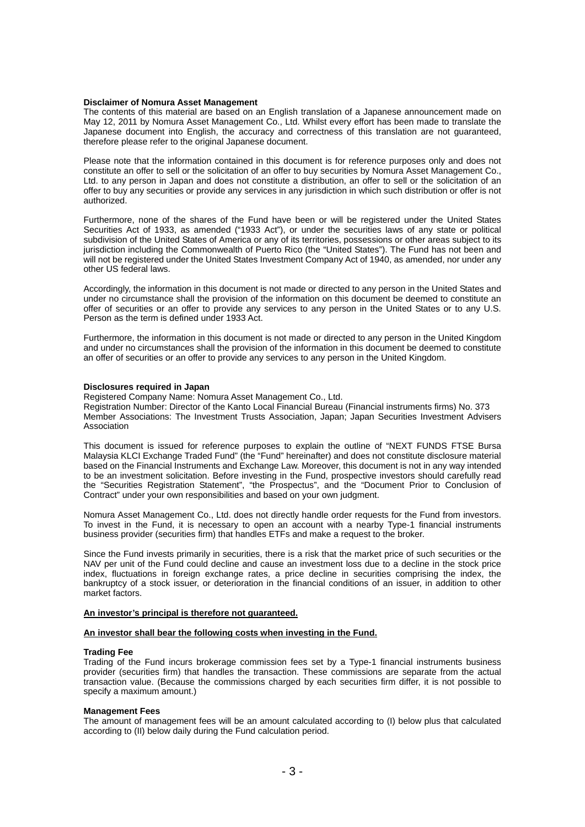#### **Disclaimer of Nomura Asset Management**

The contents of this material are based on an English translation of a Japanese announcement made on May 12, 2011 by Nomura Asset Management Co., Ltd. Whilst every effort has been made to translate the Japanese document into English, the accuracy and correctness of this translation are not guaranteed, therefore please refer to the original Japanese document.

Please note that the information contained in this document is for reference purposes only and does not constitute an offer to sell or the solicitation of an offer to buy securities by Nomura Asset Management Co., Ltd. to any person in Japan and does not constitute a distribution, an offer to sell or the solicitation of an offer to buy any securities or provide any services in any jurisdiction in which such distribution or offer is not authorized.

Furthermore, none of the shares of the Fund have been or will be registered under the United States Securities Act of 1933, as amended ("1933 Act"), or under the securities laws of any state or political subdivision of the United States of America or any of its territories, possessions or other areas subject to its jurisdiction including the Commonwealth of Puerto Rico (the "United States"). The Fund has not been and will not be registered under the United States Investment Company Act of 1940, as amended, nor under any other US federal laws.

Accordingly, the information in this document is not made or directed to any person in the United States and under no circumstance shall the provision of the information on this document be deemed to constitute an offer of securities or an offer to provide any services to any person in the United States or to any U.S. Person as the term is defined under 1933 Act.

Furthermore, the information in this document is not made or directed to any person in the United Kingdom and under no circumstances shall the provision of the information in this document be deemed to constitute an offer of securities or an offer to provide any services to any person in the United Kingdom.

#### **Disclosures required in Japan**

Registered Company Name: Nomura Asset Management Co., Ltd. Registration Number: Director of the Kanto Local Financial Bureau (Financial instruments firms) No. 373 Member Associations: The Investment Trusts Association, Japan; Japan Securities Investment Advisers Association

This document is issued for reference purposes to explain the outline of "NEXT FUNDS FTSE Bursa Malaysia KLCI Exchange Traded Fund" (the "Fund" hereinafter) and does not constitute disclosure material based on the Financial Instruments and Exchange Law. Moreover, this document is not in any way intended to be an investment solicitation. Before investing in the Fund, prospective investors should carefully read the "Securities Registration Statement", "the Prospectus", and the "Document Prior to Conclusion of Contract" under your own responsibilities and based on your own judgment.

Nomura Asset Management Co., Ltd. does not directly handle order requests for the Fund from investors. To invest in the Fund, it is necessary to open an account with a nearby Type-1 financial instruments business provider (securities firm) that handles ETFs and make a request to the broker.

Since the Fund invests primarily in securities, there is a risk that the market price of such securities or the NAV per unit of the Fund could decline and cause an investment loss due to a decline in the stock price index, fluctuations in foreign exchange rates, a price decline in securities comprising the index, the bankruptcy of a stock issuer, or deterioration in the financial conditions of an issuer, in addition to other market factors.

#### **An investor's principal is therefore not guaranteed.**

#### **An investor shall bear the following costs when investing in the Fund.**

#### **Trading Fee**

Trading of the Fund incurs brokerage commission fees set by a Type-1 financial instruments business provider (securities firm) that handles the transaction. These commissions are separate from the actual transaction value. (Because the commissions charged by each securities firm differ, it is not possible to specify a maximum amount.)

#### **Management Fees**

The amount of management fees will be an amount calculated according to (I) below plus that calculated according to (II) below daily during the Fund calculation period.